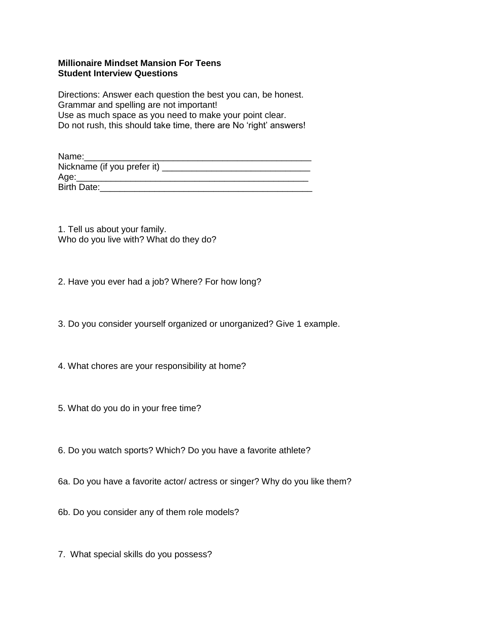## **Millionaire Mindset Mansion For Teens Student Interview Questions**

Directions: Answer each question the best you can, be honest. Grammar and spelling are not important! Use as much space as you need to make your point clear. Do not rush, this should take time, there are No 'right' answers!

| Name:                       |  |
|-----------------------------|--|
| Nickname (if you prefer it) |  |
| Age:                        |  |
| Birth Date:                 |  |

1. Tell us about your family. Who do you live with? What do they do?

2. Have you ever had a job? Where? For how long?

3. Do you consider yourself organized or unorganized? Give 1 example.

4. What chores are your responsibility at home?

5. What do you do in your free time?

6. Do you watch sports? Which? Do you have a favorite athlete?

6a. Do you have a favorite actor/ actress or singer? Why do you like them?

6b. Do you consider any of them role models?

7. What special skills do you possess?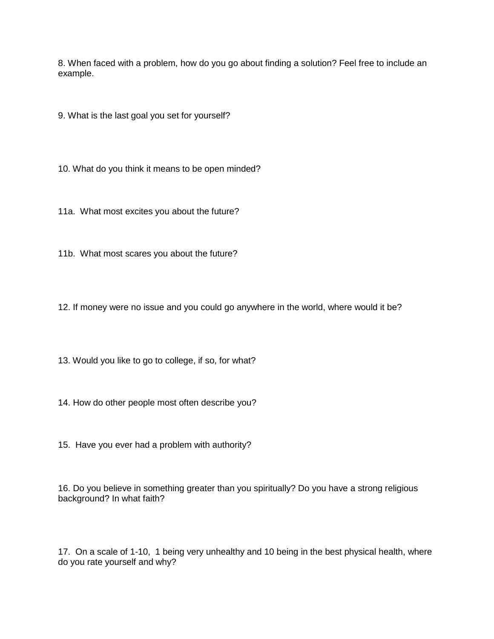8. When faced with a problem, how do you go about finding a solution? Feel free to include an example.

9. What is the last goal you set for yourself?

10. What do you think it means to be open minded?

11a. What most excites you about the future?

11b. What most scares you about the future?

12. If money were no issue and you could go anywhere in the world, where would it be?

13. Would you like to go to college, if so, for what?

14. How do other people most often describe you?

15. Have you ever had a problem with authority?

16. Do you believe in something greater than you spiritually? Do you have a strong religious background? In what faith?

17. On a scale of 1-10, 1 being very unhealthy and 10 being in the best physical health, where do you rate yourself and why?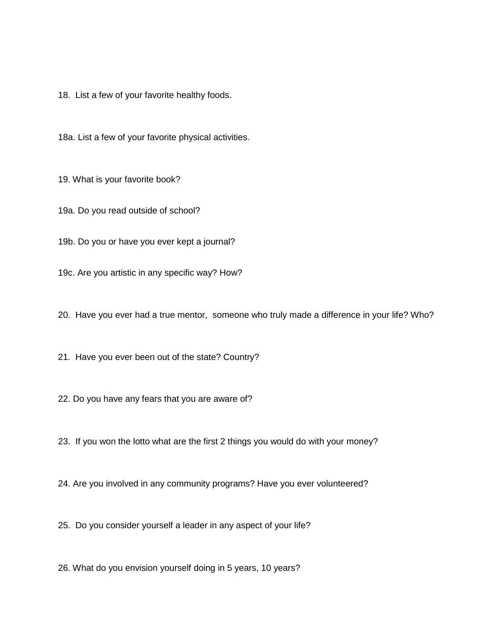18. List a few of your favorite healthy foods.

18a. List a few of your favorite physical activities.

19. What is your favorite book?

19a. Do you read outside of school?

19b. Do you or have you ever kept a journal?

19c. Are you artistic in any specific way? How?

20. Have you ever had a true mentor, someone who truly made a difference in your life? Who?

21. Have you ever been out of the state? Country?

22. Do you have any fears that you are aware of?

23. If you won the lotto what are the first 2 things you would do with your money?

24. Are you involved in any community programs? Have you ever volunteered?

25. Do you consider yourself a leader in any aspect of your life?

26. What do you envision yourself doing in 5 years, 10 years?